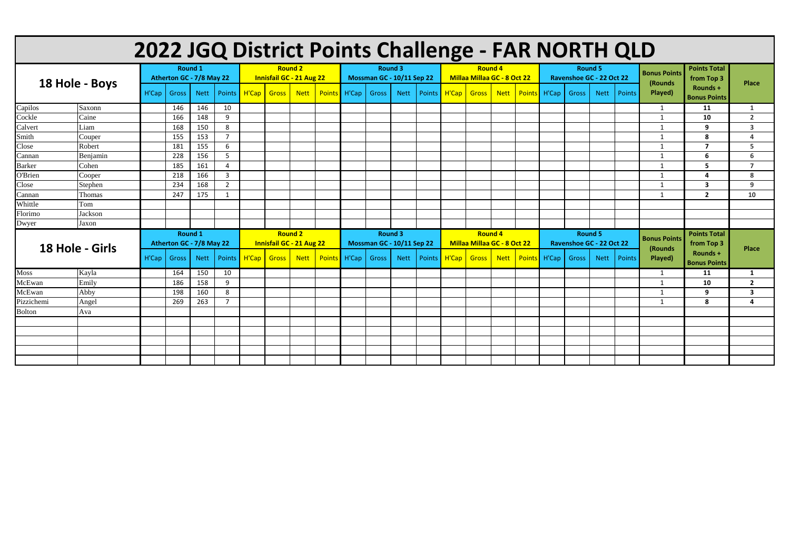| 2022 JGQ District Points Challenge - FAR NORTH QLD |          |                                     |                          |             |                |                                                   |              |             |              |                                             |       |             |  |                                               |       |             |              |                                            |              |             |               |                                |                                   |                         |
|----------------------------------------------------|----------|-------------------------------------|--------------------------|-------------|----------------|---------------------------------------------------|--------------|-------------|--------------|---------------------------------------------|-------|-------------|--|-----------------------------------------------|-------|-------------|--------------|--------------------------------------------|--------------|-------------|---------------|--------------------------------|-----------------------------------|-------------------------|
| 18 Hole - Boys                                     |          | Round 1<br>Atherton GC - 7/8 May 22 |                          |             |                | <b>Round 2</b><br><b>Innisfail GC - 21 Aug 22</b> |              |             |              | <b>Round 3</b><br>Mossman GC - 10/11 Sep 22 |       |             |  | <b>Round 4</b><br>Millaa Millaa GC - 8 Oct 22 |       |             |              | <b>Round 5</b><br>Ravenshoe GC - 22 Oct 22 |              |             |               | <b>Bonus Points</b><br>(Rounds | <b>Points Total</b><br>from Top 3 | <b>Place</b>            |
|                                                    |          | H'Cap                               | Gross                    | <b>Nett</b> | <b>Points</b>  |                                                   | H'Cap Gross  | <b>Nett</b> | Points H'Cap |                                             | Gross | <b>Nett</b> |  | Points H'Cap                                  | Gross | <b>Nett</b> | Points       | H'Cap                                      | Gross        | <b>Nett</b> | <b>Points</b> | Played)                        | Rounds +<br><b>Bonus Points</b>   |                         |
| Capilos                                            | Saxonn   |                                     | 146                      | 146         | 10             |                                                   |              |             |              |                                             |       |             |  |                                               |       |             |              |                                            |              |             |               | $\overline{1}$                 | 11                                | -1                      |
| Cockle                                             | Caine    |                                     | 166                      | 148         | 9              |                                                   |              |             |              |                                             |       |             |  |                                               |       |             |              |                                            |              |             |               | $\overline{1}$                 | 10                                | $\overline{2}$          |
| Calvert                                            | Liam     |                                     | 168                      | 150         | 8              |                                                   |              |             |              |                                             |       |             |  |                                               |       |             |              |                                            |              |             |               | $\overline{1}$                 | 9                                 | $\overline{\mathbf{3}}$ |
| Smith                                              | Couper   |                                     | 155                      | 153         | $\overline{7}$ |                                                   |              |             |              |                                             |       |             |  |                                               |       |             |              |                                            |              |             |               | -1                             | 8                                 | 4                       |
| Close                                              | Robert   |                                     | 181                      | 155         | 6              |                                                   |              |             |              |                                             |       |             |  |                                               |       |             |              |                                            |              |             |               | - 1                            | $\overline{7}$                    | 5                       |
| Cannan                                             | Benjamin |                                     | 228                      | 156         | -5             |                                                   |              |             |              |                                             |       |             |  |                                               |       |             |              |                                            |              |             |               | $\mathbf{1}$                   | 6                                 | 6                       |
| <b>Barker</b>                                      | Cohen    |                                     | 185                      | 161         | 4              |                                                   |              |             |              |                                             |       |             |  |                                               |       |             |              |                                            |              |             |               | -1                             | 5                                 | $\overline{7}$          |
| <b>O'Brien</b>                                     | Cooper   |                                     | 218                      | 166         | 3              |                                                   |              |             |              |                                             |       |             |  |                                               |       |             |              |                                            |              |             |               | $\overline{1}$                 | $\overline{\mathbf{a}}$           | 8                       |
| Close                                              | Stephen  |                                     | 234                      | 168         | $\overline{2}$ |                                                   |              |             |              |                                             |       |             |  |                                               |       |             |              |                                            |              |             |               | $\overline{1}$                 | $\overline{\mathbf{3}}$           | 9                       |
| Cannan                                             | Thomas   |                                     | 247                      | 175         | $\mathbf{1}$   |                                                   |              |             |              |                                             |       |             |  |                                               |       |             |              |                                            |              |             |               | $\overline{\mathbf{1}}$        | $\overline{2}$                    | 10                      |
| Whittle                                            | Tom      |                                     |                          |             |                |                                                   |              |             |              |                                             |       |             |  |                                               |       |             |              |                                            |              |             |               |                                |                                   |                         |
| Florimo                                            | Jackson  |                                     |                          |             |                |                                                   |              |             |              |                                             |       |             |  |                                               |       |             |              |                                            |              |             |               |                                |                                   |                         |
| Dwyer                                              | Jaxon    |                                     |                          |             |                |                                                   |              |             |              |                                             |       |             |  |                                               |       |             |              |                                            |              |             |               |                                |                                   |                         |
|                                                    |          | Round 1                             |                          |             |                | <b>Round 2</b>                                    |              |             |              | Round 3                                     |       |             |  | <b>Round 4</b>                                |       |             |              | Round 5                                    |              |             |               | <b>Bonus Points</b>            | <b>Points Total</b>               |                         |
|                                                    |          |                                     | Atherton GC - 7/8 May 22 |             |                | <b>Innisfail GC - 21 Aug 22</b>                   |              |             |              | <b>Mossman GC - 10/11 Sep 22</b>            |       |             |  | Millaa Millaa GC - 8 Oct 22                   |       |             |              | Ravenshoe GC - 22 Oct 22                   |              |             |               | (Rounds                        | from Top 3                        | <b>Place</b>            |
| 18 Hole - Girls                                    |          | H'Cap                               | <b>Gross</b>             | <b>Nett</b> | Points         | H'Cap                                             | <b>Gross</b> | <b>Nett</b> | Points H'Cap |                                             | Gross | <b>Nett</b> |  | Points H'Cap                                  | Gross | <b>Nett</b> | Points H'Cap |                                            | <b>Gross</b> | <b>Nett</b> | Points        | Played)                        | Rounds +<br><b>Bonus Points</b>   |                         |
| Moss                                               | Kayla    |                                     | 164                      | 150         | 10             |                                                   |              |             |              |                                             |       |             |  |                                               |       |             |              |                                            |              |             |               | -1                             | 11                                | $\mathbf{1}$            |
| McEwan                                             | Emily    |                                     | 186                      | 158         | 9              |                                                   |              |             |              |                                             |       |             |  |                                               |       |             |              |                                            |              |             |               | 1                              | 10                                | $\overline{2}$          |
| McEwan                                             | Abby     |                                     | 198                      | 160         | 8              |                                                   |              |             |              |                                             |       |             |  |                                               |       |             |              |                                            |              |             |               | $\mathbf{1}$                   | 9                                 | $\overline{\mathbf{3}}$ |
| Pizzichemi                                         | Angel    |                                     | 269                      | 263         | $\overline{7}$ |                                                   |              |             |              |                                             |       |             |  |                                               |       |             |              |                                            |              |             |               | - 1                            | 8                                 | Δ                       |
| <b>Bolton</b>                                      | Ava      |                                     |                          |             |                |                                                   |              |             |              |                                             |       |             |  |                                               |       |             |              |                                            |              |             |               |                                |                                   |                         |
|                                                    |          |                                     |                          |             |                |                                                   |              |             |              |                                             |       |             |  |                                               |       |             |              |                                            |              |             |               |                                |                                   |                         |
|                                                    |          |                                     |                          |             |                |                                                   |              |             |              |                                             |       |             |  |                                               |       |             |              |                                            |              |             |               |                                |                                   |                         |
|                                                    |          |                                     |                          |             |                |                                                   |              |             |              |                                             |       |             |  |                                               |       |             |              |                                            |              |             |               |                                |                                   |                         |
|                                                    |          |                                     |                          |             |                |                                                   |              |             |              |                                             |       |             |  |                                               |       |             |              |                                            |              |             |               |                                |                                   |                         |
|                                                    |          |                                     |                          |             |                |                                                   |              |             |              |                                             |       |             |  |                                               |       |             |              |                                            |              |             |               |                                |                                   |                         |